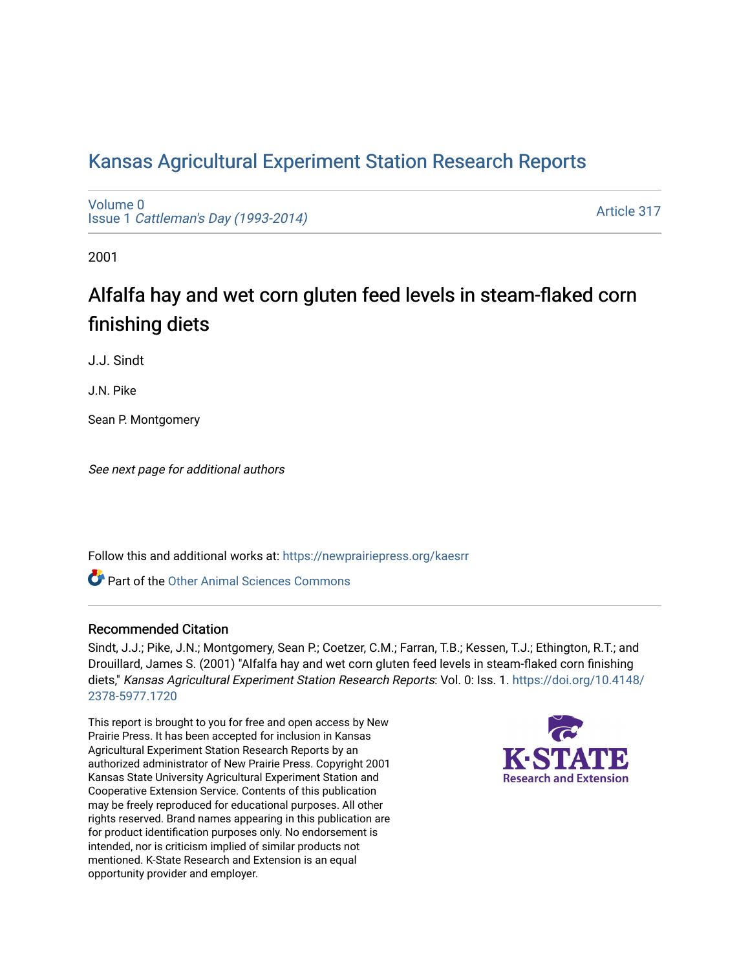## [Kansas Agricultural Experiment Station Research Reports](https://newprairiepress.org/kaesrr)

[Volume 0](https://newprairiepress.org/kaesrr/vol0) Issue 1 [Cattleman's Day \(1993-2014\)](https://newprairiepress.org/kaesrr/vol0/iss1) 

[Article 317](https://newprairiepress.org/kaesrr/vol0/iss1/317) 

2001

# Alfalfa hay and wet corn gluten feed levels in steam-flaked corn finishing diets

J.J. Sindt

J.N. Pike

Sean P. Montgomery

See next page for additional authors

Follow this and additional works at: [https://newprairiepress.org/kaesrr](https://newprairiepress.org/kaesrr?utm_source=newprairiepress.org%2Fkaesrr%2Fvol0%2Fiss1%2F317&utm_medium=PDF&utm_campaign=PDFCoverPages) 

Part of the [Other Animal Sciences Commons](http://network.bepress.com/hgg/discipline/82?utm_source=newprairiepress.org%2Fkaesrr%2Fvol0%2Fiss1%2F317&utm_medium=PDF&utm_campaign=PDFCoverPages)

#### Recommended Citation

Sindt, J.J.; Pike, J.N.; Montgomery, Sean P.; Coetzer, C.M.; Farran, T.B.; Kessen, T.J.; Ethington, R.T.; and Drouillard, James S. (2001) "Alfalfa hay and wet corn gluten feed levels in steam-flaked corn finishing diets," Kansas Agricultural Experiment Station Research Reports: Vol. 0: Iss. 1. [https://doi.org/10.4148/](https://doi.org/10.4148/2378-5977.1720) [2378-5977.1720](https://doi.org/10.4148/2378-5977.1720) 

This report is brought to you for free and open access by New Prairie Press. It has been accepted for inclusion in Kansas Agricultural Experiment Station Research Reports by an authorized administrator of New Prairie Press. Copyright 2001 Kansas State University Agricultural Experiment Station and Cooperative Extension Service. Contents of this publication may be freely reproduced for educational purposes. All other rights reserved. Brand names appearing in this publication are for product identification purposes only. No endorsement is intended, nor is criticism implied of similar products not mentioned. K-State Research and Extension is an equal opportunity provider and employer.

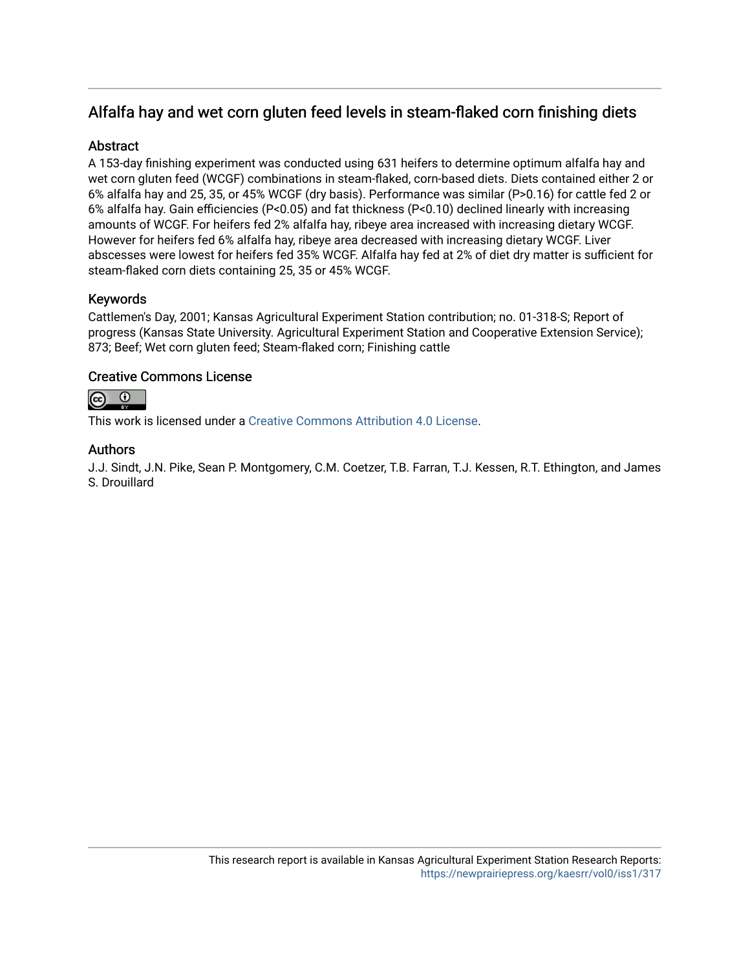### Alfalfa hay and wet corn gluten feed levels in steam-flaked corn finishing diets

#### **Abstract**

A 153-day finishing experiment was conducted using 631 heifers to determine optimum alfalfa hay and wet corn gluten feed (WCGF) combinations in steam-flaked, corn-based diets. Diets contained either 2 or 6% alfalfa hay and 25, 35, or 45% WCGF (dry basis). Performance was similar (P>0.16) for cattle fed 2 or 6% alfalfa hay. Gain efficiencies (P<0.05) and fat thickness (P<0.10) declined linearly with increasing amounts of WCGF. For heifers fed 2% alfalfa hay, ribeye area increased with increasing dietary WCGF. However for heifers fed 6% alfalfa hay, ribeye area decreased with increasing dietary WCGF. Liver abscesses were lowest for heifers fed 35% WCGF. Alfalfa hay fed at 2% of diet dry matter is sufficient for steam-flaked corn diets containing 25, 35 or 45% WCGF.

#### Keywords

Cattlemen's Day, 2001; Kansas Agricultural Experiment Station contribution; no. 01-318-S; Report of progress (Kansas State University. Agricultural Experiment Station and Cooperative Extension Service); 873; Beef; Wet corn gluten feed; Steam-flaked corn; Finishing cattle

#### Creative Commons License



This work is licensed under a [Creative Commons Attribution 4.0 License](https://creativecommons.org/licenses/by/4.0/).

#### Authors

J.J. Sindt, J.N. Pike, Sean P. Montgomery, C.M. Coetzer, T.B. Farran, T.J. Kessen, R.T. Ethington, and James S. Drouillard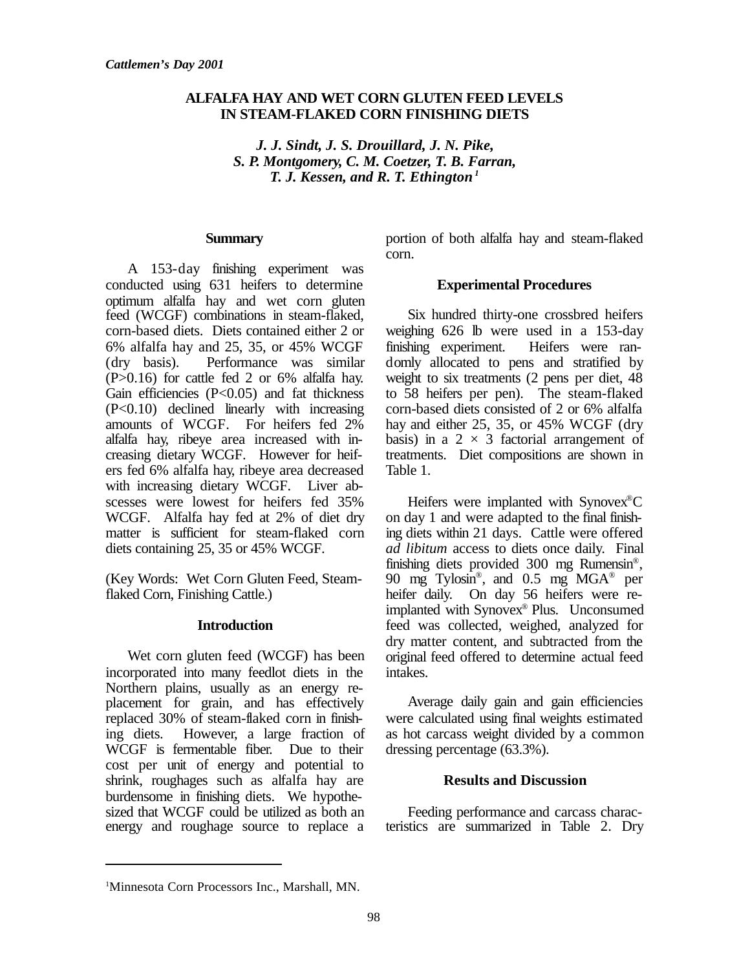#### **ALFALFA HAY AND WET CORN GLUTEN FEED LEVELS IN STEAM-FLAKED CORN FINISHING DIETS**

*J. J. Sindt, J. S. Drouillard, J. N. Pike, S. P. Montgomery, C. M. Coetzer, T. B. Farran, T. J. Kessen, and R. T. Ethington <sup>1</sup>*

#### **Summary**

A 153-day finishing experiment was conducted using 631 heifers to determine optimum alfalfa hay and wet corn gluten feed (WCGF) combinations in steam-flaked, corn-based diets. Diets contained either 2 or 6% alfalfa hay and 25, 35, or 45% WCGF (dry basis). Performance was similar (P>0.16) for cattle fed 2 or 6% alfalfa hay. Gain efficiencies  $(P<0.05)$  and fat thickness (P<0.10) declined linearly with increasing amounts of WCGF. For heifers fed 2% alfalfa hay, ribeye area increased with increasing dietary WCGF. However for heifers fed 6% alfalfa hay, ribeye area decreased with increasing dietary WCGF. Liver abscesses were lowest for heifers fed 35% WCGF. Alfalfa hay fed at 2% of diet dry matter is sufficient for steam-flaked corn diets containing 25, 35 or 45% WCGF.

(Key Words: Wet Corn Gluten Feed, Steamflaked Corn, Finishing Cattle.)

#### **Introduction**

Wet corn gluten feed (WCGF) has been incorporated into many feedlot diets in the Northern plains, usually as an energy replacement for grain, and has effectively replaced 30% of steam-flaked corn in finishing diets. However, a large fraction of WCGF is fermentable fiber. Due to their cost per unit of energy and potential to shrink, roughages such as alfalfa hay are burdensome in finishing diets. We hypothesized that WCGF could be utilized as both an energy and roughage source to replace a portion of both alfalfa hay and steam-flaked corn.

#### **Experimental Procedures**

Six hundred thirty-one crossbred heifers weighing 626 lb were used in a 153-day finishing experiment. Heifers were randomly allocated to pens and stratified by weight to six treatments (2 pens per diet, 48 to 58 heifers per pen). The steam-flaked corn-based diets consisted of 2 or 6% alfalfa hay and either 25, 35, or 45% WCGF (dry basis) in a  $2 \times 3$  factorial arrangement of treatments. Diet compositions are shown in Table 1.

Heifers were implanted with Synovex®C on day 1 and were adapted to the final finishing diets within 21 days. Cattle were offered *ad libitum* access to diets once daily. Final finishing diets provided 300 mg Rumensin® , 90 mg Tylosin® , and 0.5 mg MGA® per heifer daily. On day 56 heifers were reimplanted with Synovex® Plus. Unconsumed feed was collected, weighed, analyzed for dry matter content, and subtracted from the original feed offered to determine actual feed intakes.

Average daily gain and gain efficiencies were calculated using final weights estimated as hot carcass weight divided by a common dressing percentage (63.3%).

#### **Results and Discussion**

Feeding performance and carcass characteristics are summarized in Table 2. Dry

<sup>1</sup>Minnesota Corn Processors Inc., Marshall, MN.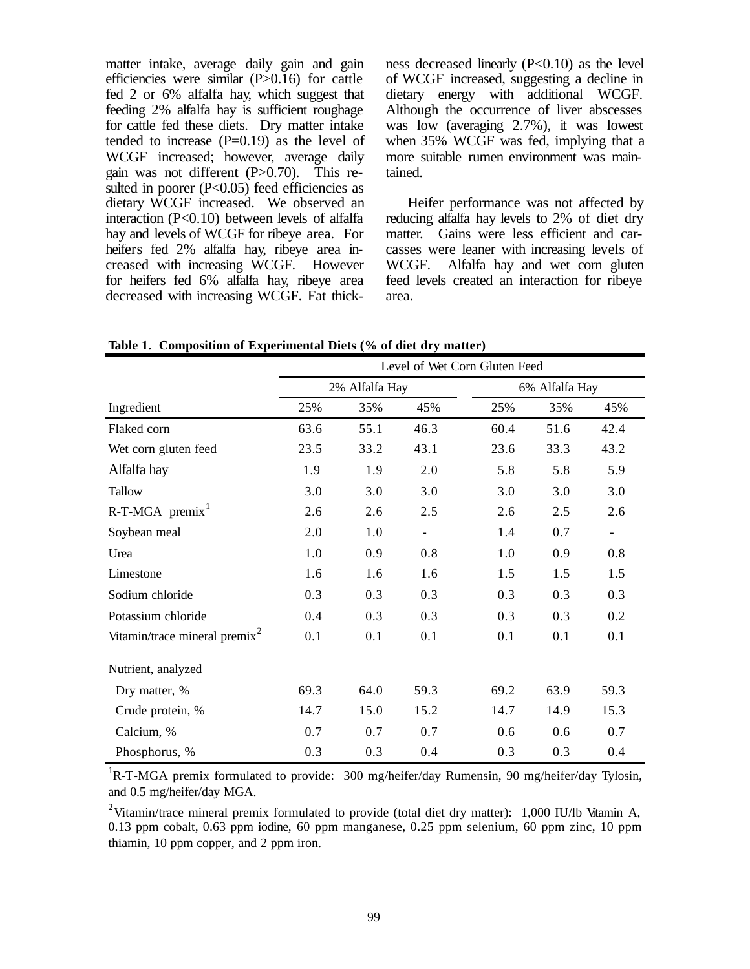matter intake, average daily gain and gain efficiencies were similar (P>0.16) for cattle fed 2 or 6% alfalfa hay, which suggest that feeding 2% alfalfa hay is sufficient roughage for cattle fed these diets. Dry matter intake tended to increase  $(P=0.19)$  as the level of WCGF increased; however, average daily gain was not different (P>0.70). This resulted in poorer  $(P<0.05)$  feed efficiencies as dietary WCGF increased. We observed an interaction (P<0.10) between levels of alfalfa hay and levels of WCGF for ribeye area. For heifers fed 2% alfalfa hay, ribeye area increased with increasing WCGF. However for heifers fed 6% alfalfa hay, ribeye area decreased with increasing WCGF. Fat thickness decreased linearly  $(P<0.10)$  as the level of WCGF increased, suggesting a decline in dietary energy with additional WCGF. Although the occurrence of liver abscesses was low (averaging 2.7%), it was lowest when 35% WCGF was fed, implying that a more suitable rumen environment was maintained.

Heifer performance was not affected by reducing alfalfa hay levels to 2% of diet dry matter. Gains were less efficient and carcasses were leaner with increasing levels of WCGF. Alfalfa hay and wet corn gluten feed levels created an interaction for ribeye area.

**Table 1. Composition of Experimental Diets (% of diet dry matter)**

|                                           | Level of Wet Corn Gluten Feed |                |                          |                |      |                          |  |  |  |
|-------------------------------------------|-------------------------------|----------------|--------------------------|----------------|------|--------------------------|--|--|--|
|                                           |                               | 2% Alfalfa Hay |                          | 6% Alfalfa Hay |      |                          |  |  |  |
| Ingredient                                | 25%                           | 35%            | 45%                      | 25%            | 35%  | 45%                      |  |  |  |
| Flaked corn                               | 63.6                          | 55.1           | 46.3                     | 60.4           | 51.6 | 42.4                     |  |  |  |
| Wet corn gluten feed                      | 23.5                          | 33.2           | 43.1                     | 23.6           | 33.3 | 43.2                     |  |  |  |
| Alfalfa hay                               | 1.9                           | 1.9            | 2.0                      | 5.8            | 5.8  | 5.9                      |  |  |  |
| Tallow                                    | 3.0                           | 3.0            | 3.0                      | 3.0            | 3.0  | 3.0                      |  |  |  |
| $R-T-MGA$ premix <sup>1</sup>             | 2.6                           | 2.6            | 2.5                      | 2.6            | 2.5  | 2.6                      |  |  |  |
| Soybean meal                              | 2.0                           | 1.0            | $\overline{\phantom{a}}$ | 1.4            | 0.7  | $\overline{\phantom{a}}$ |  |  |  |
| Urea                                      | 1.0                           | 0.9            | 0.8                      | 1.0            | 0.9  | 0.8                      |  |  |  |
| Limestone                                 | 1.6                           | 1.6            | 1.6                      | 1.5            | 1.5  | 1.5                      |  |  |  |
| Sodium chloride                           | 0.3                           | 0.3            | 0.3                      | 0.3            | 0.3  | 0.3                      |  |  |  |
| Potassium chloride                        | 0.4                           | 0.3            | 0.3                      | 0.3            | 0.3  | 0.2                      |  |  |  |
| Vitamin/trace mineral premix <sup>2</sup> | 0.1                           | 0.1            | 0.1                      | 0.1            | 0.1  | 0.1                      |  |  |  |
| Nutrient, analyzed                        |                               |                |                          |                |      |                          |  |  |  |
| Dry matter, %                             | 69.3                          | 64.0           | 59.3                     | 69.2           | 63.9 | 59.3                     |  |  |  |
| Crude protein, %                          | 14.7                          | 15.0           | 15.2                     | 14.7           | 14.9 | 15.3                     |  |  |  |
| Calcium, %                                | 0.7                           | 0.7            | 0.7                      | 0.6            | 0.6  | 0.7                      |  |  |  |
| Phosphorus, %                             | 0.3                           | 0.3            | 0.4                      | 0.3            | 0.3  | 0.4                      |  |  |  |

<sup>1</sup>R-T-MGA premix formulated to provide: 300 mg/heifer/day Rumensin, 90 mg/heifer/day Tylosin, and 0.5 mg/heifer/day MGA.

<sup>2</sup>Vitamin/trace mineral premix formulated to provide (total diet dry matter): 1,000 IU/lb Vitamin A, 0.13 ppm cobalt, 0.63 ppm iodine, 60 ppm manganese, 0.25 ppm selenium, 60 ppm zinc, 10 ppm thiamin, 10 ppm copper, and 2 ppm iron.